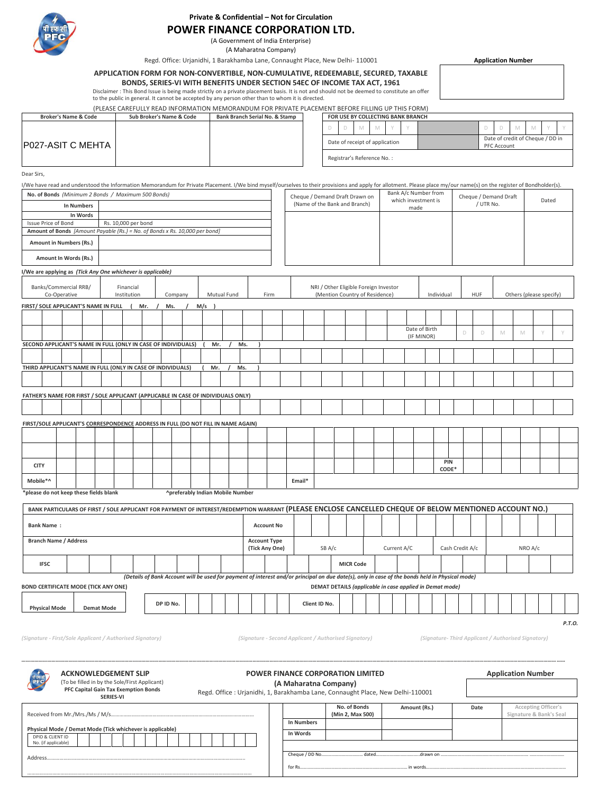

## **Private & Confidential – Not for Circulation**

# **POWER FINANCE CORPORATION LTD.**

(A Government of India Enterprise) (A Maharatna Company)

Regd. Office: Urjanidhi, 1 Barakhamba Lane, Connaught Place, New Delhi- 110001

#### **APPLICATION FORM FOR NON-CONVERTIBLE, NON-CUMULATIVE, REDEEMABLE, SECURED, TAXABLE**

**BONDS, SERIES-VI WITH BENEFITS UNDER SECTION 54EC OF INCOME TAX ACT, 1961**

Disclaimer : This Bond Issue is being made strictly on a private placement basis. It is not and should not be deemed to constitute an offer<br>to the public in general. It cannot be accepted by any person other than to whom i

**Application Number**

|  |  | (PLEASE CAREFULLY READ INFORMATION MEMORANDUM FOR PRIVATE PLACEMENT BEFORE FILLING UP THIS FORM) |  |
|--|--|--------------------------------------------------------------------------------------------------|--|
|  |  |                                                                                                  |  |

| <b>Broker's Name &amp; Code</b> | Sub Broker's Name & Code | Bank Branch Serial No. & Stamp |  |                            | FOR USE BY COLLECTING BANK BRANCH |  |             |                                  |  |
|---------------------------------|--------------------------|--------------------------------|--|----------------------------|-----------------------------------|--|-------------|----------------------------------|--|
|                                 |                          |                                |  | M                          |                                   |  |             |                                  |  |
| <b>IP027-ASIT C MEHTA I</b>     |                          |                                |  |                            | Date of receipt of application    |  | PFC Account | Date of credit of Cheque / DD in |  |
|                                 |                          |                                |  | Registrar's Reference No.: |                                   |  |             |                                  |  |

Dear Sirs,

| I/We have read and understood the Information Memorandum for Private Placement. I/We bind myself/ourselves to their provisions and apply for allotment. Please place my/our name(s) on the register of Bondholder(s). |              |                   |                     |     |     |         |                                         |             |     |      |                                |  |  |                                       |  |                                             |                     |   |            |                       |   |   |                         |   |
|-----------------------------------------------------------------------------------------------------------------------------------------------------------------------------------------------------------------------|--------------|-------------------|---------------------|-----|-----|---------|-----------------------------------------|-------------|-----|------|--------------------------------|--|--|---------------------------------------|--|---------------------------------------------|---------------------|---|------------|-----------------------|---|---|-------------------------|---|
| No. of Bonds (Minimum 2 Bonds / Maximum 500 Bonds)                                                                                                                                                                    |              |                   |                     |     |     |         |                                         |             |     |      | Cheque / Demand Draft Drawn on |  |  |                                       |  | Bank A/c Number from<br>which investment is |                     |   |            | Cheque / Demand Draft |   |   | Dated                   |   |
|                                                                                                                                                                                                                       |              | <b>In Numbers</b> |                     |     |     |         |                                         |             |     |      | (Name of the Bank and Branch)  |  |  |                                       |  | made                                        |                     |   |            | / UTR No.             |   |   |                         |   |
|                                                                                                                                                                                                                       |              | In Words          |                     |     |     |         |                                         |             |     |      |                                |  |  |                                       |  |                                             |                     |   |            |                       |   |   |                         |   |
| <b>Issue Price of Bond</b>                                                                                                                                                                                            |              |                   | Rs. 10,000 per bond |     |     |         |                                         |             |     |      |                                |  |  |                                       |  |                                             |                     |   |            |                       |   |   |                         |   |
| Amount of Bonds [Amount Payable (Rs.) = No. of Bonds x Rs. 10,000 per bond]                                                                                                                                           |              |                   |                     |     |     |         |                                         |             |     |      |                                |  |  |                                       |  |                                             |                     |   |            |                       |   |   |                         |   |
| Amount in Numbers (Rs.)                                                                                                                                                                                               |              |                   |                     |     |     |         |                                         |             |     |      |                                |  |  |                                       |  |                                             |                     |   |            |                       |   |   |                         |   |
| Amount In Words (Rs.)                                                                                                                                                                                                 |              |                   |                     |     |     |         |                                         |             |     |      |                                |  |  |                                       |  |                                             |                     |   |            |                       |   |   |                         |   |
| I/We are applying as (Tick Any One whichever is applicable)                                                                                                                                                           |              |                   |                     |     |     |         |                                         |             |     |      |                                |  |  |                                       |  |                                             |                     |   |            |                       |   |   |                         |   |
| Banks/Commercial RRB/                                                                                                                                                                                                 |              |                   | Financial           |     |     |         |                                         |             |     |      |                                |  |  | NRI / Other Eligible Foreign Investor |  |                                             |                     |   |            |                       |   |   |                         |   |
|                                                                                                                                                                                                                       | Co-Operative |                   | Institution         |     |     | Company |                                         | Mutual Fund |     | Firm |                                |  |  | (Mention Country of Residence)        |  |                                             | Individual          |   | <b>HUF</b> |                       |   |   | Others (please specify) |   |
| FIRST/ SOLE APPLICANT'S NAME IN FULL                                                                                                                                                                                  |              |                   |                     | Mr. | Ms. |         | $M/s$ )                                 |             |     |      |                                |  |  |                                       |  |                                             |                     |   |            |                       |   |   |                         |   |
|                                                                                                                                                                                                                       |              |                   |                     |     |     |         |                                         |             |     |      |                                |  |  |                                       |  |                                             |                     |   |            |                       |   |   |                         |   |
|                                                                                                                                                                                                                       |              |                   |                     |     |     |         |                                         |             |     |      |                                |  |  |                                       |  | Date of Birth                               |                     |   |            |                       |   |   |                         |   |
|                                                                                                                                                                                                                       |              |                   |                     |     |     |         |                                         |             |     |      |                                |  |  |                                       |  | (IF MINOR)                                  |                     | D |            | D                     | M | M | $\vee$                  | Y |
| SECOND APPLICANT'S NAME IN FULL (ONLY IN CASE OF INDIVIDUALS)                                                                                                                                                         |              |                   |                     |     |     |         | Mr.                                     |             | Ms. |      |                                |  |  |                                       |  |                                             |                     |   |            |                       |   |   |                         |   |
|                                                                                                                                                                                                                       |              |                   |                     |     |     |         |                                         |             |     |      |                                |  |  |                                       |  |                                             |                     |   |            |                       |   |   |                         |   |
| THIRD APPLICANT'S NAME IN FULL (ONLY IN CASE OF INDIVIDUALS)                                                                                                                                                          |              |                   |                     |     |     |         | Mr.                                     |             | Ms. |      |                                |  |  |                                       |  |                                             |                     |   |            |                       |   |   |                         |   |
|                                                                                                                                                                                                                       |              |                   |                     |     |     |         |                                         |             |     |      |                                |  |  |                                       |  |                                             |                     |   |            |                       |   |   |                         |   |
| FATHER'S NAME FOR FIRST / SOLE APPLICANT (APPLICABLE IN CASE OF INDIVIDUALS ONLY)                                                                                                                                     |              |                   |                     |     |     |         |                                         |             |     |      |                                |  |  |                                       |  |                                             |                     |   |            |                       |   |   |                         |   |
|                                                                                                                                                                                                                       |              |                   |                     |     |     |         |                                         |             |     |      |                                |  |  |                                       |  |                                             |                     |   |            |                       |   |   |                         |   |
|                                                                                                                                                                                                                       |              |                   |                     |     |     |         |                                         |             |     |      |                                |  |  |                                       |  |                                             |                     |   |            |                       |   |   |                         |   |
| FIRST/SOLE APPLICANT'S CORRESPONDENCE ADDRESS IN FULL (DO NOT FILL IN NAME AGAIN)                                                                                                                                     |              |                   |                     |     |     |         |                                         |             |     |      |                                |  |  |                                       |  |                                             |                     |   |            |                       |   |   |                         |   |
|                                                                                                                                                                                                                       |              |                   |                     |     |     |         |                                         |             |     |      |                                |  |  |                                       |  |                                             |                     |   |            |                       |   |   |                         |   |
|                                                                                                                                                                                                                       |              |                   |                     |     |     |         |                                         |             |     |      |                                |  |  |                                       |  |                                             |                     |   |            |                       |   |   |                         |   |
|                                                                                                                                                                                                                       |              |                   |                     |     |     |         |                                         |             |     |      |                                |  |  |                                       |  |                                             |                     |   |            |                       |   |   |                         |   |
| <b>CITY</b>                                                                                                                                                                                                           |              |                   |                     |     |     |         |                                         |             |     |      |                                |  |  |                                       |  |                                             | <b>PIN</b><br>CODE* |   |            |                       |   |   |                         |   |
| Mobile*^                                                                                                                                                                                                              |              |                   |                     |     |     |         |                                         |             |     |      | Email*                         |  |  |                                       |  |                                             |                     |   |            |                       |   |   |                         |   |
| *please do not keep these fields blank                                                                                                                                                                                |              |                   |                     |     |     |         | <b>^preferably Indian Mobile Number</b> |             |     |      |                                |  |  |                                       |  |                                             |                     |   |            |                       |   |   |                         |   |
| BANK PARTICULARS OF FIRST / SOLE APPLICANT FOR PAYMENT OF INTEREST/REDEMPTION WARRANT (PLEASE ENCLOSE CANCELLED CHEQUE OF BELOW MENTIONED ACCOUNT NO.)                                                                |              |                   |                     |     |     |         |                                         |             |     |      |                                |  |  |                                       |  |                                             |                     |   |            |                       |   |   |                         |   |
|                                                                                                                                                                                                                       |              |                   |                     |     |     |         |                                         |             |     |      |                                |  |  |                                       |  |                                             |                     |   |            |                       |   |   |                         |   |

| <b>Bank Name:</b>                           |                   |                                                                                                                                                 |  |  | <b>Account No</b>                     |                                                          |                  |  |             |  |                 |  |  |         |  |  |
|---------------------------------------------|-------------------|-------------------------------------------------------------------------------------------------------------------------------------------------|--|--|---------------------------------------|----------------------------------------------------------|------------------|--|-------------|--|-----------------|--|--|---------|--|--|
| <b>Branch Name / Address</b>                |                   |                                                                                                                                                 |  |  | <b>Account Type</b><br>(Tick Any One) | SB A/c                                                   |                  |  | Current A/C |  | Cash Credit A/c |  |  | NRO A/c |  |  |
| <b>IFSC</b>                                 |                   |                                                                                                                                                 |  |  |                                       |                                                          | <b>MICR Code</b> |  |             |  |                 |  |  |         |  |  |
|                                             |                   | (Details of Bank Account will be used for payment of interest and/or principal on due date(s), only in case of the bonds held in Physical mode) |  |  |                                       |                                                          |                  |  |             |  |                 |  |  |         |  |  |
| <b>BOND CERTIFICATE MODE (TICK ANY ONE)</b> |                   |                                                                                                                                                 |  |  |                                       | DEMAT DETAILS (applicable in case applied in Demat mode) |                  |  |             |  |                 |  |  |         |  |  |
| <b>Physical Mode</b>                        | <b>Demat Mode</b> | DP ID No.                                                                                                                                       |  |  |                                       | Client ID No.                                            |                  |  |             |  |                 |  |  |         |  |  |

*P.T.O.*

………………………………………………………………………………………………………………………………………………

(Signature - First/Sole Applicant / Authorised Signatory) (Signature - Second Applicant / Authorised Signatory) (Signature - First/Sole Applicant / Authorised Signatory)

|                     | <b>ACKNOWLEDGEMENT SLIP</b>                                                                               |                                                                                |                       | <b>POWER FINANCE CORPORATION LIMITED</b> |              |      | <b>Application Number</b>                      |
|---------------------|-----------------------------------------------------------------------------------------------------------|--------------------------------------------------------------------------------|-----------------------|------------------------------------------|--------------|------|------------------------------------------------|
|                     | (To be filled in by the Sole/First Applicant)<br>PFC Capital Gain Tax Exemption Bonds<br><b>SERIES-VI</b> | Regd. Office: Urjanidhi, 1, Barakhamba Lane, Connaught Place, New Delhi-110001 | (A Maharatna Company) |                                          |              |      |                                                |
|                     |                                                                                                           |                                                                                |                       | No. of Bonds<br>(Min 2, Max 500)         | Amount (Rs.) | Date | Accepting Officer's<br>Signature & Bank's Seal |
|                     |                                                                                                           |                                                                                | <b>In Numbers</b>     |                                          |              |      |                                                |
| DPID & CLIENT ID    | Physical Mode / Demat Mode (Tick whichever is applicable)                                                 |                                                                                | In Words              |                                          |              |      |                                                |
| No. (if applicable) |                                                                                                           |                                                                                |                       |                                          |              |      |                                                |
| Address.            |                                                                                                           |                                                                                | Cheque / DD No.       | . dated                                  | .drawn.on    |      |                                                |
|                     |                                                                                                           |                                                                                | for Rs.               |                                          |              |      |                                                |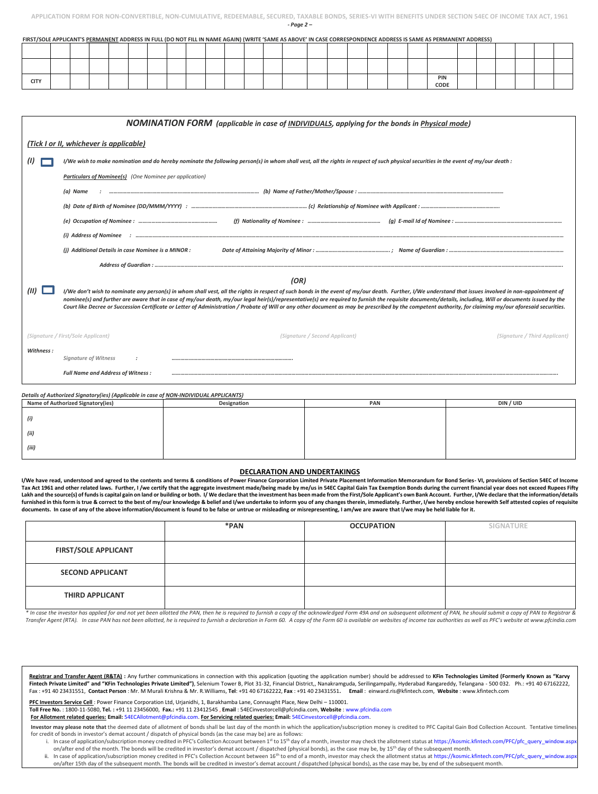| <b>CITY</b> |  |  |  |  |  |  |  |  |  | PIN<br>CODE |  |  |
|-------------|--|--|--|--|--|--|--|--|--|-------------|--|--|

**FIRST/SOLE APPLICANT'S PERMANENT ADDRESS IN FULL (DO NOT FILL IN NAME AGAIN) (WRITE 'SAME AS ABOVE' IN CASE CORRESPONDENCE ADDRESS IS SAME AS PERMANENT ADDRESS)**

| <b>NOMINATION FORM</b> (applicable in case of <b>INDIVIDUALS</b> , applying for the bonds in <i>Physical mode</i> ) |                                                                                                                                                                                                                                                                                                                                                                                                                                                                                                                                                                                                                                    |                               |  |  |  |  |  |  |  |
|---------------------------------------------------------------------------------------------------------------------|------------------------------------------------------------------------------------------------------------------------------------------------------------------------------------------------------------------------------------------------------------------------------------------------------------------------------------------------------------------------------------------------------------------------------------------------------------------------------------------------------------------------------------------------------------------------------------------------------------------------------------|-------------------------------|--|--|--|--|--|--|--|
|                                                                                                                     | (Tick I or II, whichever is applicable)                                                                                                                                                                                                                                                                                                                                                                                                                                                                                                                                                                                            |                               |  |  |  |  |  |  |  |
|                                                                                                                     | I/We wish to make nomination and do hereby nominate the following person(s) in whom shall vest, all the rights in respect of such physical securities in the event of my/our death :                                                                                                                                                                                                                                                                                                                                                                                                                                               |                               |  |  |  |  |  |  |  |
|                                                                                                                     | Particulars of Nominee(s) (One Nominee per application)                                                                                                                                                                                                                                                                                                                                                                                                                                                                                                                                                                            |                               |  |  |  |  |  |  |  |
|                                                                                                                     | (a) Name                                                                                                                                                                                                                                                                                                                                                                                                                                                                                                                                                                                                                           |                               |  |  |  |  |  |  |  |
|                                                                                                                     |                                                                                                                                                                                                                                                                                                                                                                                                                                                                                                                                                                                                                                    |                               |  |  |  |  |  |  |  |
|                                                                                                                     |                                                                                                                                                                                                                                                                                                                                                                                                                                                                                                                                                                                                                                    |                               |  |  |  |  |  |  |  |
|                                                                                                                     |                                                                                                                                                                                                                                                                                                                                                                                                                                                                                                                                                                                                                                    |                               |  |  |  |  |  |  |  |
|                                                                                                                     | (i) Additional Details in case Nominee is a MINOR :                                                                                                                                                                                                                                                                                                                                                                                                                                                                                                                                                                                |                               |  |  |  |  |  |  |  |
|                                                                                                                     |                                                                                                                                                                                                                                                                                                                                                                                                                                                                                                                                                                                                                                    |                               |  |  |  |  |  |  |  |
|                                                                                                                     | (OR)                                                                                                                                                                                                                                                                                                                                                                                                                                                                                                                                                                                                                               |                               |  |  |  |  |  |  |  |
|                                                                                                                     | I/We don't wish to nominate any person(s) in whom shall vest, all the rights in respect of such bonds in the event of my/our death. Further, I/We understand that issues involved in non-appointment of<br>nominee(s) and further are aware that in case of my/our death, my/our legal heir(s)/representative(s) are required to furnish the requisite documents/details, including, Will or documents issued by the<br>Court like Decree or Succession Certificate or Letter of Administration / Probate of Will or any other document as may be prescribed by the competent authority, for claiming my/our aforesaid securities. |                               |  |  |  |  |  |  |  |
|                                                                                                                     | (Signature / First/Sole Applicant)<br>(Signature / Second Applicant)                                                                                                                                                                                                                                                                                                                                                                                                                                                                                                                                                               | (Signature / Third Applicant) |  |  |  |  |  |  |  |
| Withness:                                                                                                           | <b>Signature of Witness</b>                                                                                                                                                                                                                                                                                                                                                                                                                                                                                                                                                                                                        |                               |  |  |  |  |  |  |  |
|                                                                                                                     | <b>Full Name and Address of Witness:</b>                                                                                                                                                                                                                                                                                                                                                                                                                                                                                                                                                                                           |                               |  |  |  |  |  |  |  |

| Details of Authorized Signatory(ies) (Applicable in case of NON-INDIVIDUAL APPLICANTS) |             |     |           |  |  |  |  |  |  |
|----------------------------------------------------------------------------------------|-------------|-----|-----------|--|--|--|--|--|--|
| <b>Name of Authorized Signatory(ies)</b>                                               | Designation | PAN | DIN / UID |  |  |  |  |  |  |
| (i)                                                                                    |             |     |           |  |  |  |  |  |  |
| (ii)                                                                                   |             |     |           |  |  |  |  |  |  |
| (iii)                                                                                  |             |     |           |  |  |  |  |  |  |

#### **DECLARATION AND UNDERTAKINGS**

I/We have read, understood and agreed to the contents and terms & conditions of Power Finance Corporation Limited Private Placement Information Memorandum for Bond Series- VI, provisions of Section 54EC of Income Tax Act 1961 and other related laws. Further, I /we certify that the aggregate investment made/being made by me/us in 54EC Capital Gain Tax Exemption Bonds during the current financial year does not exceed Rupees Fifty Lakh and the source(s) of funds is capital gain on land or building or both. I/ We declare that the investment has been made from the First/Sole Applicant's own Bank Account. Further, I/We declare that the information/deta furnished in this form is true & correct to the best of my/our knowledge & belief and I/we undertake to inform you of any changes therein, immediately. Further, I/we hereby enclose herewith Self attested copies of requisit **documents. In case of any of the above information/document is found to be false or untrue or misleading or misrepresenting, I am/we are aware that I/we may be held liable for it.**

|                             | *PAN | <b>OCCUPATION</b> | <b>SIGNATURE</b> |
|-----------------------------|------|-------------------|------------------|
|                             |      |                   |                  |
| <b>FIRST/SOLE APPLICANT</b> |      |                   |                  |
| <b>SECOND APPLICANT</b>     |      |                   |                  |
| <b>THIRD APPLICANT</b>      |      |                   |                  |

\* In case the investor has applied for and not yet been allotted the PAN, then he is required to furnish a copy of the acknowledged Form 49A and on subsequent allotment of PAN, he should submit a copy of PAN to Registrar & Transfer Agent (RTA). In case PAN has not been allotted, he is required to furnish a declaration in Form 60. A copy of the Form 60 is available on websites of income tax authorities as well as PFC's website at www.pfcindia

Registrar and Transfer Agent (R&TA): Any further communications in connection with this application (quoting the application number) should be addressed to KFin Technologies Limited (Formerly Known as "Karvy Fintech Private Limited" and "KFin Technologies Private Limited"), Selenium Tower B, Plot 31-32, Financial District,, Nanakramguda, Serilingampally, Hyderabad Rangareddy, Telangana - 500 032. Ph.: +91 40 67162222, Fax : +91 40 23431551, **Contact Person** : Mr. M Murali Krishna & Mr. R.Williams, **Tel**: +91 40 67162222, **Fax** : +91 40 23431551**. Email** : einward.ris@kfintech.com, **Website** : www.kfintech.com

**PFC Investors Service Cell** : Power Finance Corporation Ltd, Urjanidhi, 1, Barakhamba Lane, Connaught Place, New Delhi – 110001.

**Toll Free No.** : 1800-11-5080, **Tel. :** +91 11 23456000, **Fax.:** +91 11 23412545 , **Email** : 54ECinvestorcell@pfcindia.com, **Website** : www.pfcindia.com

**For Allotment related queries: Email:** 54ECAllotment@pfcindia.com. **For Servicing related queries: Email:** 54ECinvestorcell@pfcindia.com.

Investor may please note that the deemed date of allotment of bonds shall be last day of the month in which the application/subscription money is credited to PFC Capital Gain Bod Collection Account. Tentative timeline for credit of bonds in investor's demat account / dispatch of physical bonds (as the case may be) are as follows:

- i. In case of application/subscription money credited in PFC's Collection Account between 1st d15<sup>th</sup> day of a month, investor may check the allotment status at https://kosmic.kfintech.com/PFC/pfc\_query\_window.asp on/after end of the month. The bonds will be credited in investor's demat account / dispatched (physical bonds), as the case may be, by 15<sup>th</sup> day of the subsequent month.
- ii. In case of application/subscription money credited in PFC's Collection Account between 16<sup>th</sup> to end of a month, investor may check the allotment status at https://kosmic.kfintech.com/PFC/pfc\_query\_window.asp on/after 15th day of the subsequent month. The bonds will be credited in investor's demat account / dispatched (physical bonds), as the case may be, by end of the subsequent month.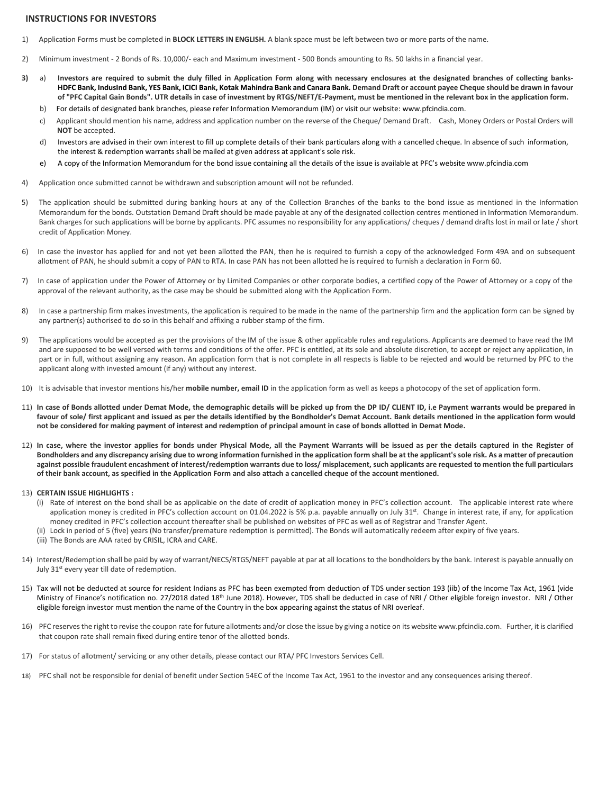#### **INSTRUCTIONS FOR INVESTORS**

- 1) Application Forms must be completed in **BLOCK LETTERS IN ENGLISH.** A blank space must be left between two or more parts of the name.
- 2) Minimum investment 2 Bonds of Rs. 10,000/- each and Maximum investment 500 Bonds amounting to Rs. 50 lakhs in a financial year.
- **3)** a) **Investors are required to submit the duly filled in Application Form along with necessary enclosures at the designated branches of collecting banks-HDFC Bank, IndusInd Bank, YES Bank, ICICI Bank, Kotak Mahindra Bank and Canara Bank. Demand Draft or account payee Cheque should be drawn in favour of "PFC Capital Gain Bonds". UTR details in case of investment by RTGS/NEFT/E-Payment, must be mentioned in the relevant box in the application form.** 
	- b) [For d](http://www.recindia.com/)etails of designated bank branches, please refer Information Memorandum (IM) or visit our website: www.pfcindia.com.
	- c) Applicant should mention his name, address and application number on the reverse of the Cheque/ Demand Draft. Cash, Money Orders or Postal Orders will **NOT** be accepted.
	- d) Investors are advised in their own interest to fill up complete details of their bank particulars along with a cancelled cheque. In absence of such information, the interest & redemption warrants shall be mailed at given address at applicant's sole risk.
	- e) A copy of the Information Memorandum for the bond issue containing all the details of the issue is available at PFC's website www.pfcindia.com
- 4) Application once submitted cannot be withdrawn and subscription amount will not be refunded.
- 5) The application should be submitted during banking hours at any of the Collection Branches of the banks to the bond issue as mentioned in the Information Memorandum for the bonds. Outstation Demand Draft should be made payable at any of the designated collection centres mentioned in Information Memorandum. Bank charges for such applications will be borne by applicants. PFC assumes no responsibility for any applications/ cheques / demand drafts lost in mail or late / short credit of Application Money.
- 6) In case the investor has applied for and not yet been allotted the PAN, then he is required to furnish a copy of the acknowledged Form 49A and on subsequent allotment of PAN, he should submit a copy of PAN to RTA. In case PAN has not been allotted he is required to furnish a declaration in Form 60.
- 7) In case of application under the Power of Attorney or by Limited Companies or other corporate bodies, a certified copy of the Power of Attorney or a copy of the approval of the relevant authority, as the case may be should be submitted along with the Application Form.
- 8) In case a partnership firm makes investments, the application is required to be made in the name of the partnership firm and the application form can be signed by any partner(s) authorised to do so in this behalf and affixing a rubber stamp of the firm.
- 9) The applications would be accepted as per the provisions of the IM of the issue & other applicable rules and regulations. Applicants are deemed to have read the IM and are supposed to be well versed with terms and conditions of the offer. PFC is entitled, at its sole and absolute discretion, to accept or reject any application, in part or in full, without assigning any reason. An application form that is not complete in all respects is liable to be rejected and would be returned by PFC to the applicant along with invested amount (if any) without any interest.
- 10) It is advisable that investor mentions his/her **mobile number, email ID** in the application form as well as keeps a photocopy of the set of application form.
- 11) **In case of Bonds allotted under Demat Mode, the demographic details will be picked up from the DP ID/ CLIENT ID, i.e Payment warrants would be prepared in favour of sole/ first applicant and issued as per the details identified by the Bondholder's Demat Account. Bank details mentioned in the application form would not be considered for making payment of interest and redemption of principal amount in case of bonds allotted in Demat Mode.**
- 12) **In case, where the investor applies for bonds under Physical Mode, all the Payment Warrants will be issued as per the details captured in the Register of Bondholders and any discrepancy arising due to wrong information furnished in the application form shall be at the applicant's sole risk. As a matter of precaution against possible fraudulent encashment of interest/redemption warrants due to loss/ misplacement, such applicants are requested to mention the full particulars of their bank account, as specified in the Application Form and also attach a cancelled cheque of the account mentioned.**
- 13) **CERTAIN ISSUE HIGHLIGHTS :** 
	- (i) Rate of interest on the bond shall be as applicable on the date of credit of application money in PFC's collection account. The applicable interest rate where application money is credited in PFC's collection account on 01.04.2022 is 5% p.a. payable annually on July 31st. Change in interest rate, if any, for application money credited in PFC's collection account thereafter shall be published on websites of PFC as well as of Registrar and Transfer Agent.
	- (ii) Lock in period of 5 (five) years (No transfer/premature redemption is permitted). The Bonds will automatically redeem after expiry of five years.
	- (iii) The Bonds are AAA rated by CRISIL, ICRA and CARE.
- 14) Interest/Redemption shall be paid by way of warrant/NECS/RTGS/NEFT payable at par at all locations to the bondholders by the bank. Interest is payable annually on July 31<sup>st</sup> every year till date of redemption.
- 15) Tax will not be deducted at source for resident Indians as PFC has been exempted from deduction of TDS under section 193 (iib) of the Income Tax Act, 1961 (vide Ministry of Finance's notification no. 27/2018 dated 18<sup>th</sup> June 2018). However, TDS shall be deducted in case of NRI / Other eligible foreign investor. NRI / Other eligible foreign investor must mention the name of the Country in the box appearing against the status of NRI overleaf.
- 16) PFC reserves the right to revise the coupon rate for future allotments and/or close the issue by giving a notice on its website www.pfcindia.com. Further, it is clarified that coupon rate shall remain fixed during entire tenor of the allotted bonds.
- 17) For status of allotment/ servicing or any other details, please contact our RTA/ PFC Investors Services Cell.
- 18) PFC shall not be responsible for denial of benefit under Section 54EC of the Income Tax Act, 1961 to the investor and any consequences arising thereof.